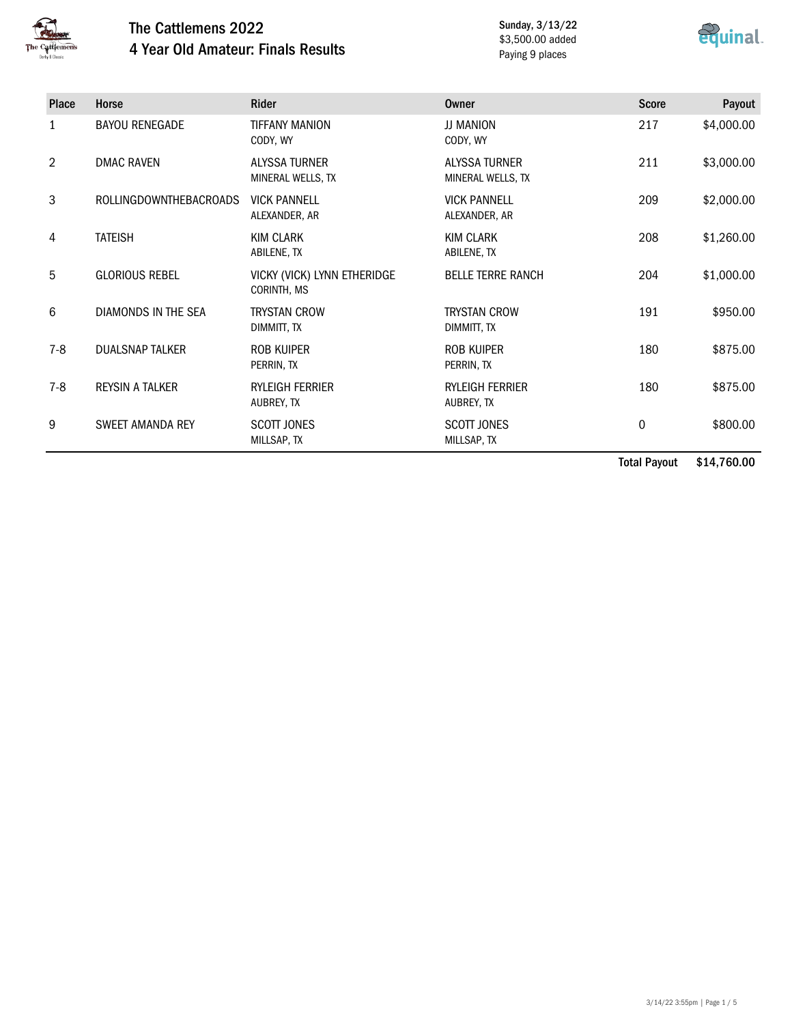

## The Cattlemens 2022 4 Year Old Amateur: Finals Results

Sunday, 3/13/22 \$3,500.00 added Paying 9 places



| Place | Horse                   | <b>Rider</b>                               | <b>Owner</b>                              | <b>Score</b> | Payout     |
|-------|-------------------------|--------------------------------------------|-------------------------------------------|--------------|------------|
| 1     | <b>BAYOU RENEGADE</b>   | <b>TIFFANY MANION</b><br>CODY, WY          | JJ MANION<br>CODY, WY                     | 217          | \$4,000.00 |
| 2     | <b>DMAC RAVEN</b>       | <b>ALYSSA TURNER</b><br>MINERAL WELLS, TX  | <b>ALYSSA TURNER</b><br>MINERAL WELLS, TX | 211          | \$3,000.00 |
| 3     | ROLLINGDOWNTHEBACROADS  | <b>VICK PANNELL</b><br>ALEXANDER, AR       | <b>VICK PANNELL</b><br>ALEXANDER, AR      | 209          | \$2,000.00 |
| 4     | <b>TATEISH</b>          | <b>KIM CLARK</b><br>ABILENE, TX            | <b>KIM CLARK</b><br>ABILENE, TX           | 208          | \$1,260.00 |
| 5     | <b>GLORIOUS REBEL</b>   | VICKY (VICK) LYNN ETHERIDGE<br>CORINTH, MS | <b>BELLE TERRE RANCH</b>                  | 204          | \$1,000.00 |
| 6     | DIAMONDS IN THE SEA     | <b>TRYSTAN CROW</b><br>DIMMITT, TX         | <b>TRYSTAN CROW</b><br>DIMMITT, TX        | 191          | \$950.00   |
| $7-8$ | <b>DUALSNAP TALKER</b>  | <b>ROB KUIPER</b><br>PERRIN, TX            | <b>ROB KUIPER</b><br>PERRIN, TX           | 180          | \$875.00   |
| $7-8$ | <b>REYSIN A TALKER</b>  | <b>RYLEIGH FERRIER</b><br>AUBREY, TX       | <b>RYLEIGH FERRIER</b><br>AUBREY, TX      | 180          | \$875.00   |
| 9     | <b>SWEET AMANDA REY</b> | <b>SCOTT JONES</b><br>MILLSAP, TX          | <b>SCOTT JONES</b><br>MILLSAP, TX         | 0            | \$800.00   |

Total Payout \$14,760.00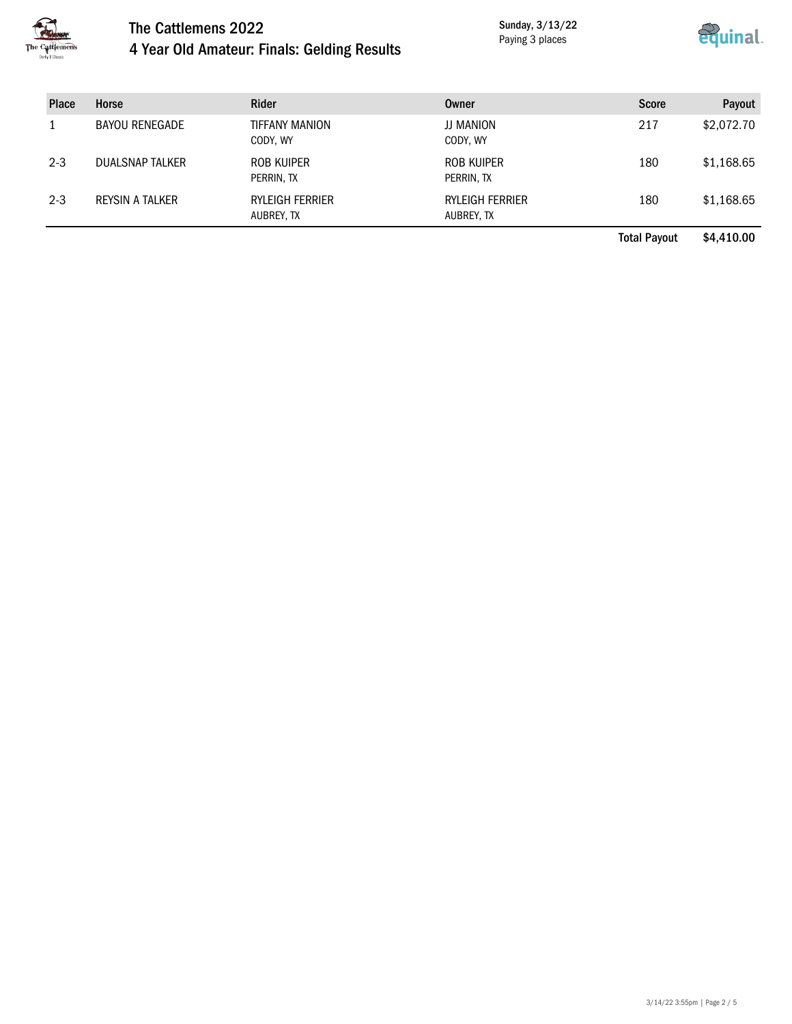

# The Cattlemens 2022 4 Year Old Amateur: Finals: Gelding Results

Sunday, 3/13/22 Paying 3 places



| <b>Place</b> | Horse                  | <b>Rider</b>                         | Owner                                | <b>Score</b>        | Payout     |
|--------------|------------------------|--------------------------------------|--------------------------------------|---------------------|------------|
|              | <b>BAYOU RENEGADE</b>  | TIFFANY MANION<br>CODY, WY           | JJ MANION<br>CODY, WY                | 217                 | \$2,072.70 |
| $2 - 3$      | <b>DUALSNAP TALKER</b> | ROB KUIPER<br>PERRIN, TX             | ROB KUIPER<br>PERRIN, TX             | 180                 | \$1,168.65 |
| $2 - 3$      | REYSIN A TALKER        | <b>RYLEIGH FERRIER</b><br>AUBREY, TX | <b>RYLEIGH FERRIER</b><br>AUBREY, TX | 180                 | \$1,168.65 |
|              |                        |                                      |                                      | <b>Total Payout</b> | \$4,410.00 |

3/14/22 3:55pm | Page 2 / 5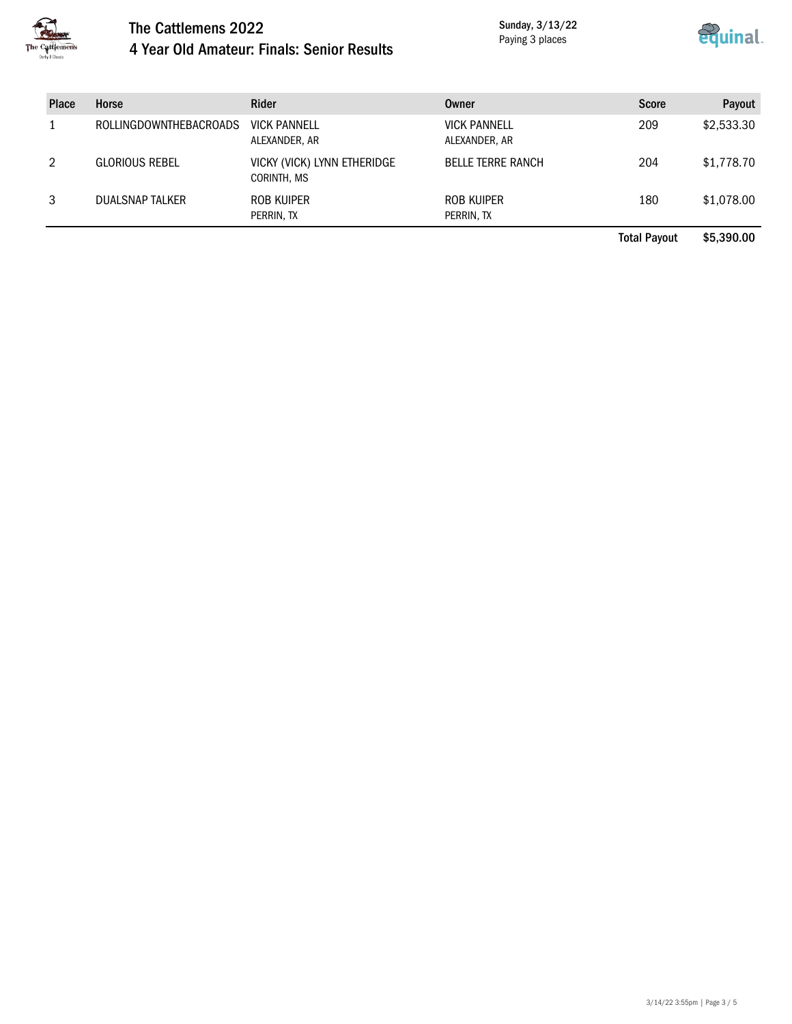

#### The Cattlemens 2022 4 Year Old Amateur: Finals: Senior Results

Sunday, 3/13/22 Paying 3 places



| <b>Place</b> | Horse                  | <b>Rider</b>                               | <b>Owner</b>                         | <b>Score</b> | Payout     |
|--------------|------------------------|--------------------------------------------|--------------------------------------|--------------|------------|
|              | ROLLINGDOWNTHEBACROADS | <b>VICK PANNELL</b><br>ALEXANDER, AR       | <b>VICK PANNELL</b><br>ALEXANDER, AR | 209          | \$2,533.30 |
| 2            | <b>GLORIOUS REBEL</b>  | VICKY (VICK) LYNN ETHERIDGE<br>CORINTH, MS | <b>BELLE TERRE RANCH</b>             | 204          | \$1,778.70 |
| 3            | DUALSNAP TALKER        | ROB KUIPER<br>PERRIN, TX                   | ROB KUIPER<br>PERRIN, TX             | 180          | \$1,078.00 |

Total Payout \$5,390.00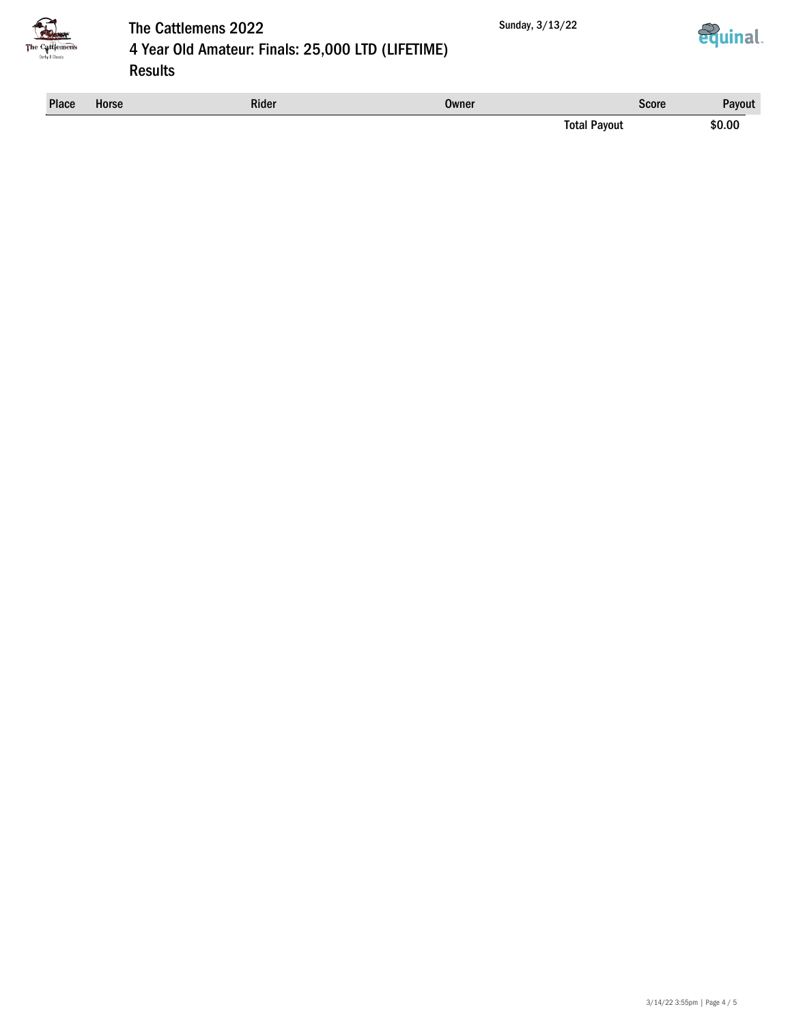





## The Cattlemens 2022 4 Year Old Amateur: Finals: 25,000 LTD (LIFETIME) Results

| <b>Place</b> | <b>Horse</b> | <b>Rider</b> | Owner | Score  | <b>Pavout</b> |
|--------------|--------------|--------------|-------|--------|---------------|
|              |              |              | Total | ™ayout | \$0.00        |